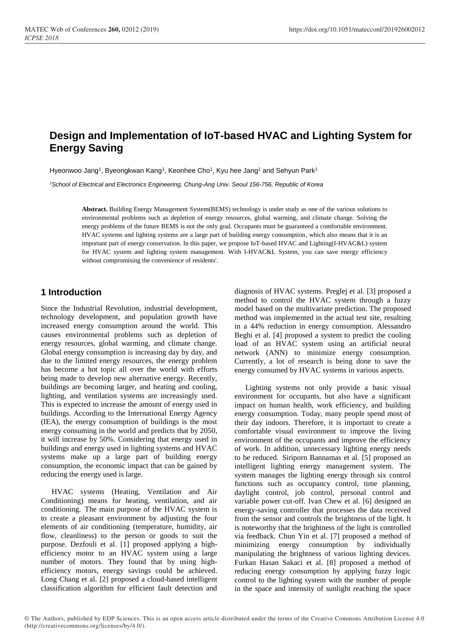# **Design and Implementation of IoT-based HVAC and Lighting System for Energy Saving**

Hyeonwoo Jang<sup>1</sup>, Byeongkwan Kang<sup>1</sup>, Keonhee Cho<sup>1</sup>, Kyu hee Jang<sup>1</sup> and Sehyun Park<sup>1</sup>

*<sup>1</sup>School of Electrical and Electronics Engineering, Chung-Ang Univ. Seoul 156-756, Republic of Korea*

**Abstract.** Building Energy Management System(BEMS) technology is under study as one of the various solutions to environmental problems such as depletion of energy resources, global warming, and climate change. Solving the energy problems of the future BEMS is not the only goal. Occupants must be guaranteed a comfortable environment. HVAC systems and lighting systems are a large part of building energy consumption, which also means that it is an important part of energy conservation. In this paper, we propose IoT-based HVAC and Lighting(I-HVAC&L) system for HVAC system and lighting system management. With I-HVAC&L System, you can save energy efficiency without compromising the convenience of residents'.

#### **1 Introduction**

Since the Industrial Revolution, industrial development, technology development, and population growth have increased energy consumption around the world. This causes environmental problems such as depletion of energy resources, global warming, and climate change. Global energy consumption is increasing day by day, and due to the limited energy resources, the energy problem has become a hot topic all over the world with efforts being made to develop new alternative energy. Recently, buildings are becoming larger, and heating and cooling, lighting, and ventilation systems are increasingly used. This is expected to increase the amount of energy used in buildings. According to the International Energy Agency (IEA), the energy consumption of buildings is the most energy consuming in the world and predicts that by 2050, it will increase by 50%. Considering that energy used in buildings and energy used in lighting systems and HVAC systems make up a large part of building energy consumption, the economic impact that can be gained by reducing the energy used is large.

HVAC systems (Heating, Ventilation and Air Conditioning) means for heating, ventilation, and air conditioning. The main purpose of the HVAC system is to create a pleasant environment by adjusting the four elements of air conditioning (temperature, humidity, air flow, cleanliness) to the person or goods to suit the purpose. Dezfouli et al. [1] proposed applying a highefficiency motor to an HVAC system using a large number of motors. They found that by using highefficiency motors, energy savings could be achieved. Long Chang et al. [2] proposed a cloud-based intelligent classification algorithm for efficient fault detection and

diagnosis of HVAC systems. Preglej et al. [3] proposed a method to control the HVAC system through a fuzzy model based on the multivariate prediction. The proposed method was implemented in the actual test site, resulting in a 44% reduction in energy consumption. Alessandro Beghi et al. [4] proposed a system to predict the cooling load of an HVAC system using an artificial neural network (ANN) to minimize energy consumption. Currently, a lot of research is being done to save the energy consumed by HVAC systems in various aspects.

Lighting systems not only provide a basic visual environment for occupants, but also have a significant impact on human health, work efficiency, and building energy consumption. Today, many people spend most of their day indoors. Therefore, it is important to create a comfortable visual environment to improve the living environment of the occupants and improve the efficiency of work. In addition, unnecessary lighting energy needs to be reduced. Siriporn Bannamas et al. [5] proposed an intelligent lighting energy management system. The system manages the lighting energy through six control functions such as occupancy control, time planning, daylight control, job control, personal control and variable power cut-off. Ivan Chew et al. [6] designed an energy-saving controller that processes the data received from the sensor and controls the brightness of the light. It is noteworthy that the brightness of the light is controlled via feedback. Chun Yin et al. [7] proposed a method of minimizing energy consumption by individually manipulating the brightness of various lighting devices. Furkan Hasan Sakaci et al. [8] proposed a method of reducing energy consumption by applying fuzzy logic control to the lighting system with the number of people in the space and intensity of sunlight reaching the space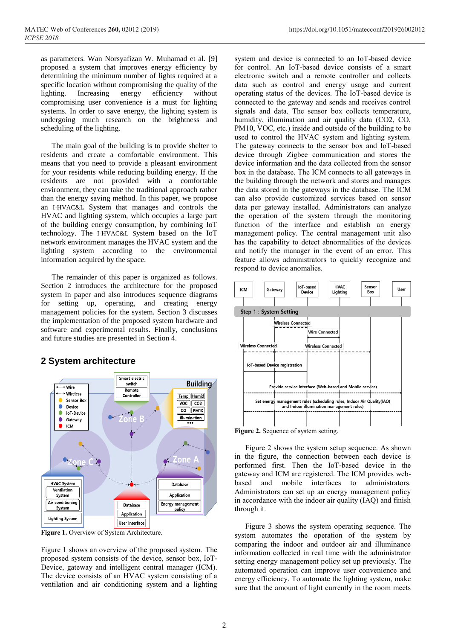as parameters. Wan Norsyafizan W. Muhamad et al. [9] proposed a system that improves energy efficiency by determining the minimum number of lights required at a specific location without compromising the quality of the lighting. Increasing energy efficiency without compromising user convenience is a must for lighting systems. In order to save energy, the lighting system is undergoing much research on the brightness and scheduling of the lighting.

The main goal of the building is to provide shelter to residents and create a comfortable environment. This means that you need to provide a pleasant environment for your residents while reducing building energy. If the residents are not provided with a comfortable environment, they can take the traditional approach rather than the energy saving method. In this paper, we propose an I-HVAC&L System that manages and controls the HVAC and lighting system, which occupies a large part of the building energy consumption, by combining IoT technology. The I-HVAC&L System based on the IoT network environment manages the HVAC system and the lighting system according to the environmental information acquired by the space.

The remainder of this paper is organized as follows. Section 2 introduces the architecture for the proposed system in paper and also introduces sequence diagrams for setting up, operating, and creating energy management policies for the system. Section 3 discusses the implementation of the proposed system hardware and software and experimental results. Finally, conclusions and future studies are presented in Section 4.



#### **2 System architecture**

Figure 1 shows an overview of the proposed system. The proposed system consists of the device, sensor box, IoT-Device, gateway and intelligent central manager (ICM). The device consists of an HVAC system consisting of a ventilation and air conditioning system and a lighting

system and device is connected to an IoT-based device for control. An IoT-based device consists of a smart electronic switch and a remote controller and collects data such as control and energy usage and current operating status of the devices. The IoT-based device is connected to the gateway and sends and receives control signals and data. The sensor box collects temperature, humidity, illumination and air quality data (CO2, CO, PM10, VOC, etc.) inside and outside of the building to be used to control the HVAC system and lighting system. The gateway connects to the sensor box and IoT-based device through Zigbee communication and stores the device information and the data collected from the sensor box in the database. The ICM connects to all gateways in the building through the network and stores and manages the data stored in the gateways in the database. The ICM can also provide customized services based on sensor data per gateway installed. Administrators can analyze the operation of the system through the monitoring function of the interface and establish an energy management policy. The central management unit also has the capability to detect abnormalities of the devices and notify the manager in the event of an error. This feature allows administrators to quickly recognize and respond to device anomalies.



**Figure 2.** Sequence of system setting.

Figure 2 shows the system setup sequence. As shown in the figure, the connection between each device is performed first. Then the IoT-based device in the gateway and ICM are registered. The ICM provides webbased and mobile interfaces to administrators. Administrators can set up an energy management policy in accordance with the indoor air quality (IAQ) and finish through it.

Figure 3 shows the system operating sequence. The system automates the operation of the system by comparing the indoor and outdoor air and illuminance information collected in real time with the administrator setting energy management policy set up previously. The automated operation can improve user convenience and energy efficiency. To automate the lighting system, make sure that the amount of light currently in the room meets

**Figure 1.** Overview of System Architecture.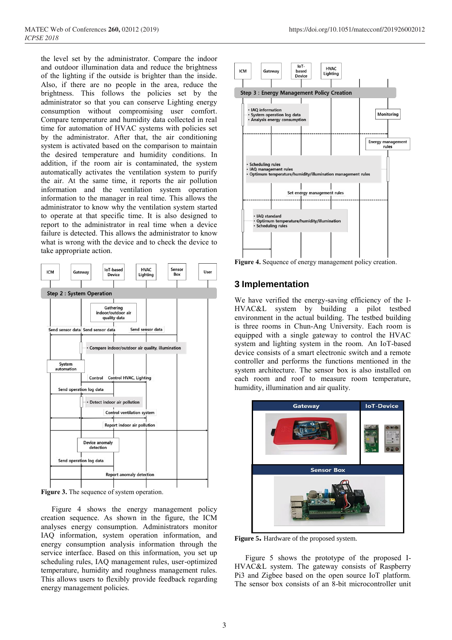the level set by the administrator. Compare the indoor and outdoor illumination data and reduce the brightness of the lighting if the outside is brighter than the inside. Also, if there are no people in the area, reduce the brightness. This follows the policies set by the administrator so that you can conserve Lighting energy consumption without compromising user comfort. Compare temperature and humidity data collected in real time for automation of HVAC systems with policies set by the administrator. After that, the air conditioning system is activated based on the comparison to maintain the desired temperature and humidity conditions. In addition, if the room air is contaminated, the system automatically activates the ventilation system to purify the air. At the same time, it reports the air pollution information and the ventilation system operation information to the manager in real time. This allows the administrator to know why the ventilation system started to operate at that specific time. It is also designed to report to the administrator in real time when a device failure is detected. This allows the administrator to know what is wrong with the device and to check the device to take appropriate action.



**Figure 3.** The sequence of system operation.

Figure 4 shows the energy management policy creation sequence. As shown in the figure, the ICM analyses energy consumption. Administrators monitor IAQ information, system operation information, and energy consumption analysis information through the service interface. Based on this information, you set up scheduling rules, IAQ management rules, user-optimized temperature, humidity and roughness management rules. This allows users to flexibly provide feedback regarding energy management policies.



**Figure 4.** Sequence of energy management policy creation.

#### **3 Implementation**

We have verified the energy-saving efficiency of the I-HVAC&L system by building a pilot testbed environment in the actual building. The testbed building is three rooms in Chun-Ang University. Each room is equipped with a single gateway to control the HVAC system and lighting system in the room. An IoT-based device consists of a smart electronic switch and a remote controller and performs the functions mentioned in the system architecture. The sensor box is also installed on each room and roof to measure room temperature, humidity, illumination and air quality.



**Figure 5.** Hardware of the proposed system.

Figure 5 shows the prototype of the proposed I-HVAC&L system. The gateway consists of Raspberry Pi3 and Zigbee based on the open source IoT platform. The sensor box consists of an 8-bit microcontroller unit